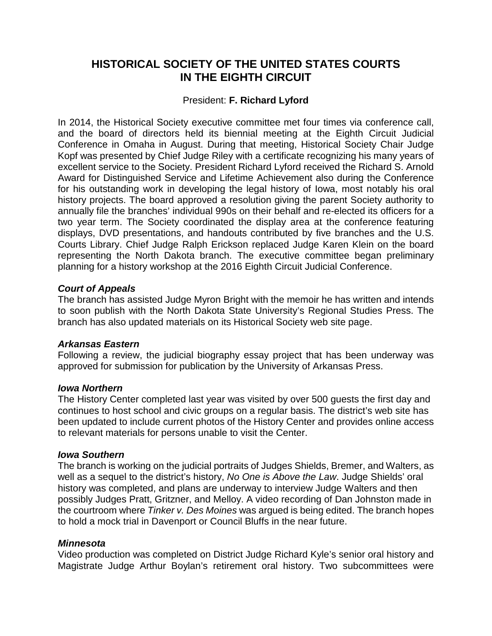# **HISTORICAL SOCIETY OF THE UNITED STATES COURTS IN THE EIGHTH CIRCUIT**

# President: **F. Richard Lyford**

In 2014, the Historical Society executive committee met four times via conference call, and the board of directors held its biennial meeting at the Eighth Circuit Judicial Conference in Omaha in August. During that meeting, Historical Society Chair Judge Kopf was presented by Chief Judge Riley with a certificate recognizing his many years of excellent service to the Society. President Richard Lyford received the Richard S. Arnold Award for Distinguished Service and Lifetime Achievement also during the Conference for his outstanding work in developing the legal history of Iowa, most notably his oral history projects. The board approved a resolution giving the parent Society authority to annually file the branches' individual 990s on their behalf and re-elected its officers for a two year term. The Society coordinated the display area at the conference featuring displays, DVD presentations, and handouts contributed by five branches and the U.S. Courts Library. Chief Judge Ralph Erickson replaced Judge Karen Klein on the board representing the North Dakota branch. The executive committee began preliminary planning for a history workshop at the 2016 Eighth Circuit Judicial Conference.

### *Court of Appeals*

The branch has assisted Judge Myron Bright with the memoir he has written and intends to soon publish with the North Dakota State University's Regional Studies Press. The branch has also updated materials on its Historical Society web site page.

### *Arkansas Eastern*

Following a review, the judicial biography essay project that has been underway was approved for submission for publication by the University of Arkansas Press.

#### *Iowa Northern*

The History Center completed last year was visited by over 500 guests the first day and continues to host school and civic groups on a regular basis. The district's web site has been updated to include current photos of the History Center and provides online access to relevant materials for persons unable to visit the Center.

#### *Iowa Southern*

The branch is working on the judicial portraits of Judges Shields, Bremer, and Walters, as well as a sequel to the district's history, *No One is Above the Law*. Judge Shields' oral history was completed, and plans are underway to interview Judge Walters and then possibly Judges Pratt, Gritzner, and Melloy. A video recording of Dan Johnston made in the courtroom where *Tinker v. Des Moines* was argued is being edited. The branch hopes to hold a mock trial in Davenport or Council Bluffs in the near future.

### *Minnesota*

Video production was completed on District Judge Richard Kyle's senior oral history and Magistrate Judge Arthur Boylan's retirement oral history. Two subcommittees were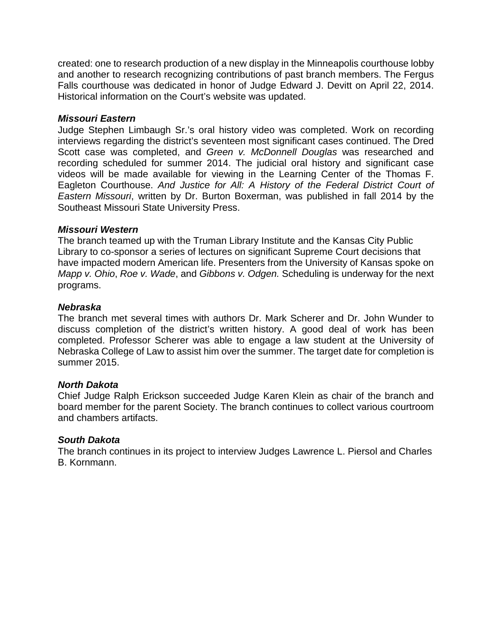created: one to research production of a new display in the Minneapolis courthouse lobby and another to research recognizing contributions of past branch members. The Fergus Falls courthouse was dedicated in honor of Judge Edward J. Devitt on April 22, 2014. Historical information on the Court's website was updated.

#### *Missouri Eastern*

Judge Stephen Limbaugh Sr.'s oral history video was completed. Work on recording interviews regarding the district's seventeen most significant cases continued. The Dred Scott case was completed, and *Green v. McDonnell Douglas* was researched and recording scheduled for summer 2014. The judicial oral history and significant case videos will be made available for viewing in the Learning Center of the Thomas F. Eagleton Courthouse. *And Justice for All: A History of the Federal District Court of Eastern Missouri*, written by Dr. Burton Boxerman, was published in fall 2014 by the Southeast Missouri State University Press.

#### *Missouri Western*

The branch teamed up with the Truman Library Institute and the Kansas City Public Library to co-sponsor a series of lectures on significant Supreme Court decisions that have impacted modern American life. Presenters from the University of Kansas spoke on *Mapp v. Ohio*, *Roe v. Wade*, and *Gibbons v. Odgen.* Scheduling is underway for the next programs.

#### *Nebraska*

The branch met several times with authors Dr. Mark Scherer and Dr. John Wunder to discuss completion of the district's written history. A good deal of work has been completed. Professor Scherer was able to engage a law student at the University of Nebraska College of Law to assist him over the summer. The target date for completion is summer 2015.

#### *North Dakota*

Chief Judge Ralph Erickson succeeded Judge Karen Klein as chair of the branch and board member for the parent Society. The branch continues to collect various courtroom and chambers artifacts.

### *South Dakota*

The branch continues in its project to interview Judges Lawrence L. Piersol and Charles B. Kornmann.